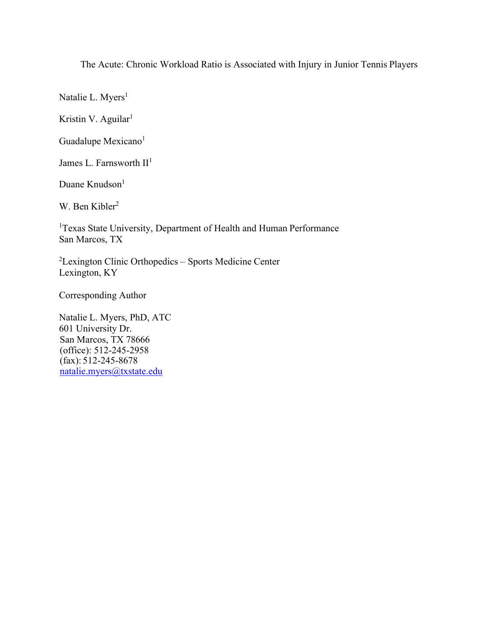The Acute: Chronic Workload Ratio is Associated with Injury in Junior Tennis Players

Natalie L. Myers<sup>1</sup>

Kristin V. Aguilar<sup>1</sup>

Guadalupe Mexicano<sup>1</sup>

James L. Farnsworth  $II<sup>1</sup>$ 

Duane Knudson<sup>1</sup>

W. Ben Kibler<sup>2</sup>

<sup>1</sup>Texas State University, Department of Health and Human Performance San Marcos, TX

<sup>2</sup>Lexington Clinic Orthopedics - Sports Medicine Center Lexington, KY

Corresponding Author

Natalie L. Myers, PhD, ATC 601 University Dr. San Marcos, TX 78666 (office): 512-245-2958 (fax): 512-245-8678 natalie.myers@txstate.edu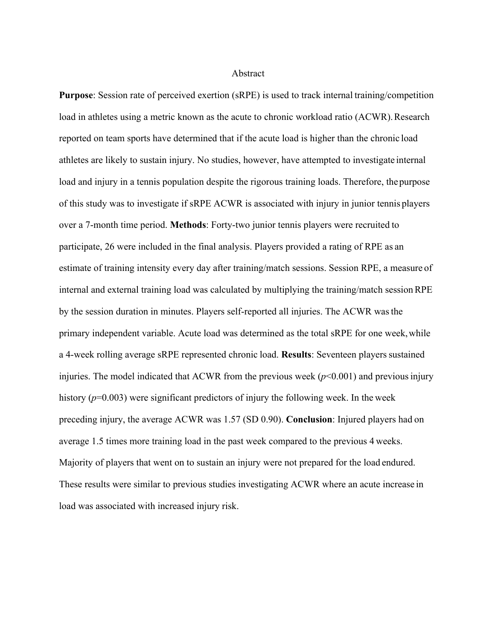#### Abstract

**Purpose**: Session rate of perceived exertion (sRPE) is used to track internal training/competition load in athletes using a metric known as the acute to chronic workload ratio (ACWR). Research reported on team sports have determined that if the acute load is higher than the chronic load athletes are likely to sustain injury. No studies, however, have attempted to investigate internal load and injury in a tennis population despite the rigorous training loads. Therefore, thepurpose of this study was to investigate if sRPE ACWR is associated with injury in junior tennis players over a 7-month time period. **Methods**: Forty-two junior tennis players were recruited to participate, 26 were included in the final analysis. Players provided a rating of RPE as an estimate of training intensity every day after training/match sessions. Session RPE, a measure of internal and external training load was calculated by multiplying the training/match sessionRPE by the session duration in minutes. Players self-reported all injuries. The ACWR wasthe primary independent variable. Acute load was determined as the total sRPE for one week, while a 4-week rolling average sRPE represented chronic load. **Results**: Seventeen players sustained injuries. The model indicated that ACWR from the previous week  $(p<0.001)$  and previous injury history ( $p=0.003$ ) were significant predictors of injury the following week. In the week preceding injury, the average ACWR was 1.57 (SD 0.90). **Conclusion**: Injured players had on average 1.5 times more training load in the past week compared to the previous 4 weeks. Majority of players that went on to sustain an injury were not prepared for the load endured. These results were similar to previous studies investigating ACWR where an acute increase in load was associated with increased injury risk.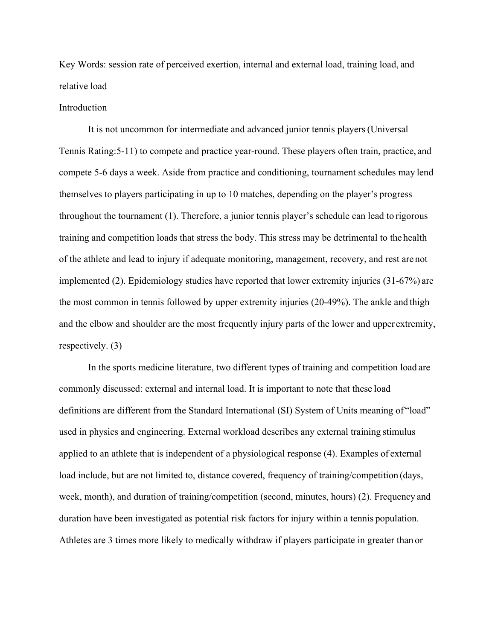Key Words: session rate of perceived exertion, internal and external load, training load, and relative load

### Introduction

It is not uncommon for intermediate and advanced junior tennis players(Universal Tennis Rating:5-11) to compete and practice year-round. These players often train, practice, and compete 5-6 days a week. Aside from practice and conditioning, tournament schedules may lend themselves to players participating in up to 10 matches, depending on the player's progress throughout the tournament (1). Therefore, a junior tennis player's schedule can lead to rigorous training and competition loads that stress the body. This stress may be detrimental to the health of the athlete and lead to injury if adequate monitoring, management, recovery, and rest are not implemented (2). Epidemiology studies have reported that lower extremity injuries (31-67%) are the most common in tennis followed by upper extremity injuries (20-49%). The ankle and thigh and the elbow and shoulder are the most frequently injury parts of the lower and upperextremity, respectively. (3)

In the sports medicine literature, two different types of training and competition load are commonly discussed: external and internal load. It is important to note that these load definitions are different from the Standard International (SI) System of Units meaning of "load" used in physics and engineering. External workload describes any external training stimulus applied to an athlete that is independent of a physiological response (4). Examples of external load include, but are not limited to, distance covered, frequency of training/competition (days, week, month), and duration of training/competition (second, minutes, hours) (2). Frequency and duration have been investigated as potential risk factors for injury within a tennis population. Athletes are 3 times more likely to medically withdraw if players participate in greater than or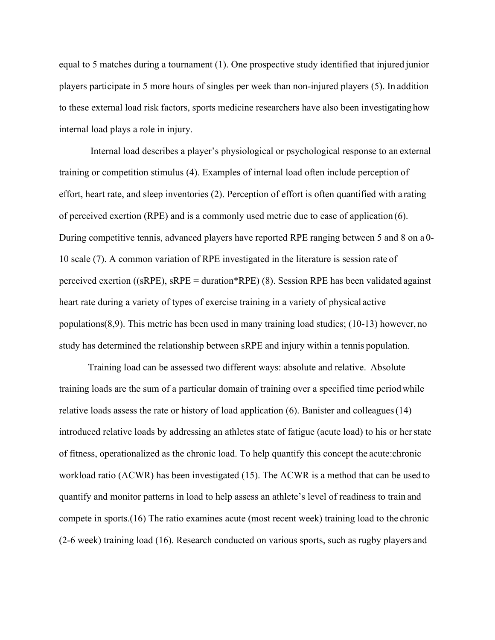equal to 5 matches during a tournament (1). One prospective study identified that injured junior players participate in 5 more hours of singles per week than non-injured players (5). In addition to these external load risk factors, sports medicine researchers have also been investigating how internal load plays a role in injury.

Internal load describes a player's physiological or psychological response to an external training or competition stimulus (4). Examples of internal load often include perception of effort, heart rate, and sleep inventories (2). Perception of effort is often quantified with a rating of perceived exertion (RPE) and is a commonly used metric due to ease of application (6). During competitive tennis, advanced players have reported RPE ranging between 5 and 8 on a 0- 10 scale (7). A common variation of RPE investigated in the literature is session rate of perceived exertion ((sRPE), sRPE = duration\*RPE) (8). Session RPE has been validated against heart rate during a variety of types of exercise training in a variety of physical active populations(8,9). This metric has been used in many training load studies; (10-13) however, no study has determined the relationship between sRPE and injury within a tennis population.

Training load can be assessed two different ways: absolute and relative. Absolute training loads are the sum of a particular domain of training over a specified time periodwhile relative loads assess the rate or history of load application (6). Banister and colleagues(14) introduced relative loads by addressing an athletes state of fatigue (acute load) to his or herstate of fitness, operationalized as the chronic load. To help quantify this concept the acute:chronic workload ratio (ACWR) has been investigated (15). The ACWR is a method that can be used to quantify and monitor patterns in load to help assess an athlete's level of readiness to train and compete in sports.(16) The ratio examines acute (most recent week) training load to the chronic (2-6 week) training load (16). Research conducted on various sports, such as rugby players and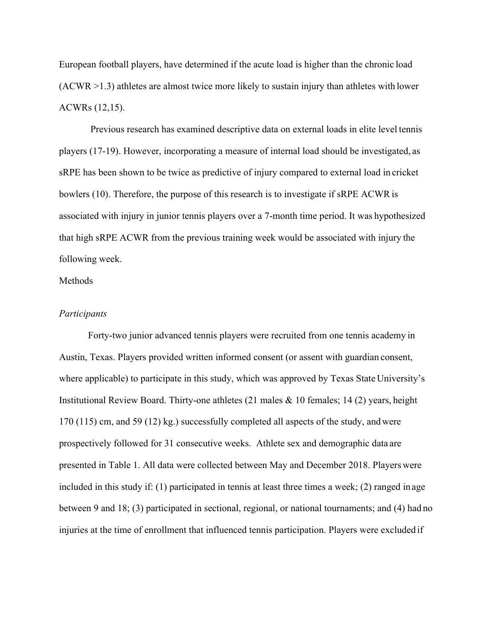European football players, have determined if the acute load is higher than the chronic load (ACWR >1.3) athletes are almost twice more likely to sustain injury than athletes with lower ACWRs (12,15).

Previous research has examined descriptive data on external loads in elite level tennis players (17-19). However, incorporating a measure of internal load should be investigated, as sRPE has been shown to be twice as predictive of injury compared to external load in cricket bowlers (10). Therefore, the purpose of this research is to investigate if sRPE ACWR is associated with injury in junior tennis players over a 7-month time period. It was hypothesized that high sRPE ACWR from the previous training week would be associated with injury the following week.

## Methods

#### *Participants*

Forty-two junior advanced tennis players were recruited from one tennis academy in Austin, Texas. Players provided written informed consent (or assent with guardian consent, where applicable) to participate in this study, which was approved by Texas State University's Institutional Review Board. Thirty-one athletes (21 males & 10 females; 14 (2) years, height 170 (115) cm, and 59 (12) kg.) successfully completed all aspects of the study, andwere prospectively followed for 31 consecutive weeks. Athlete sex and demographic data are presented in Table 1. All data were collected between May and December 2018. Players were included in this study if: (1) participated in tennis at least three times a week; (2) ranged in age between 9 and 18; (3) participated in sectional, regional, or national tournaments; and (4) had no injuries at the time of enrollment that influenced tennis participation. Players were excluded if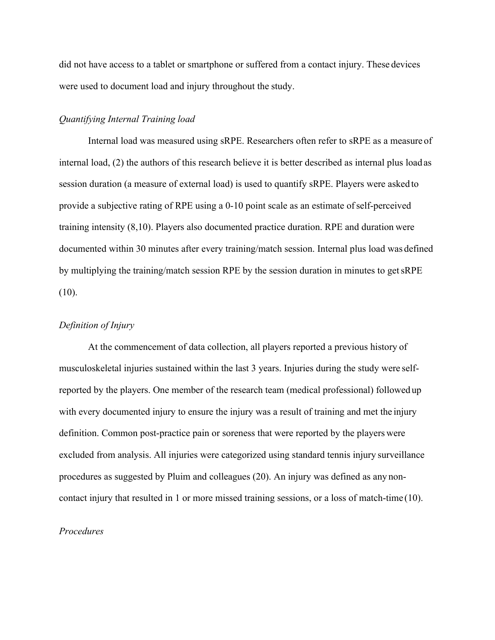did not have access to a tablet or smartphone or suffered from a contact injury. These devices were used to document load and injury throughout the study.

### *Quantifying Internal Training load*

Internal load was measured using sRPE. Researchers often refer to sRPE as a measure of internal load, (2) the authors of this research believe it is better described as internal plus load as session duration (a measure of external load) is used to quantify sRPE. Players were asked to provide a subjective rating of RPE using a 0-10 point scale as an estimate ofself-perceived training intensity (8,10). Players also documented practice duration. RPE and duration were documented within 30 minutes after every training/match session. Internal plus load was defined by multiplying the training/match session RPE by the session duration in minutes to getsRPE  $(10).$ 

### *Definition of Injury*

At the commencement of data collection, all players reported a previous history of musculoskeletal injuries sustained within the last 3 years. Injuries during the study were selfreported by the players. One member of the research team (medical professional) followed up with every documented injury to ensure the injury was a result of training and met the injury definition. Common post-practice pain or soreness that were reported by the players were excluded from analysis. All injuries were categorized using standard tennis injury surveillance procedures as suggested by Pluim and colleagues (20). An injury was defined as any noncontact injury that resulted in 1 or more missed training sessions, or a loss of match-time (10).

### *Procedures*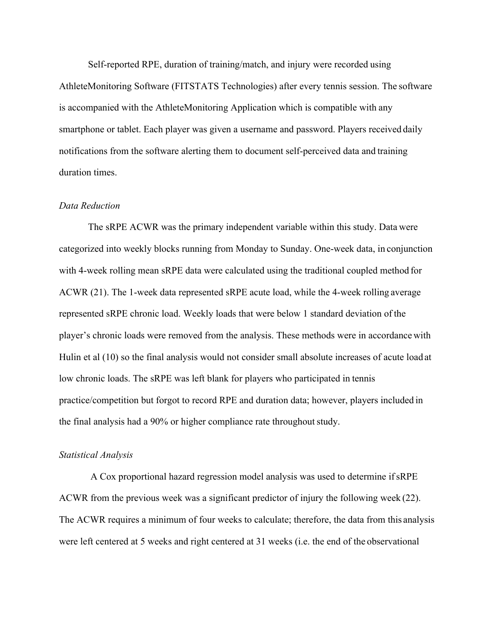Self-reported RPE, duration of training/match, and injury were recorded using AthleteMonitoring Software (FITSTATS Technologies) after every tennis session. The software is accompanied with the AthleteMonitoring Application which is compatible with any smartphone or tablet. Each player was given a username and password. Players received daily notifications from the software alerting them to document self-perceived data and training duration times.

#### *Data Reduction*

The sRPE ACWR was the primary independent variable within this study. Data were categorized into weekly blocks running from Monday to Sunday. One-week data, in conjunction with 4-week rolling mean sRPE data were calculated using the traditional coupled method for ACWR (21). The 1-week data represented sRPE acute load, while the 4-week rolling average represented sRPE chronic load. Weekly loads that were below 1 standard deviation of the player's chronic loads were removed from the analysis. These methods were in accordance with Hulin et al (10) so the final analysis would not consider small absolute increases of acute load at low chronic loads. The sRPE was left blank for players who participated in tennis practice/competition but forgot to record RPE and duration data; however, players included in the final analysis had a 90% or higher compliance rate throughout study.

## *Statistical Analysis*

A Cox proportional hazard regression model analysis was used to determine ifsRPE ACWR from the previous week was a significant predictor of injury the following week (22). The ACWR requires a minimum of four weeks to calculate; therefore, the data from this analysis were left centered at 5 weeks and right centered at 31 weeks (i.e. the end of the observational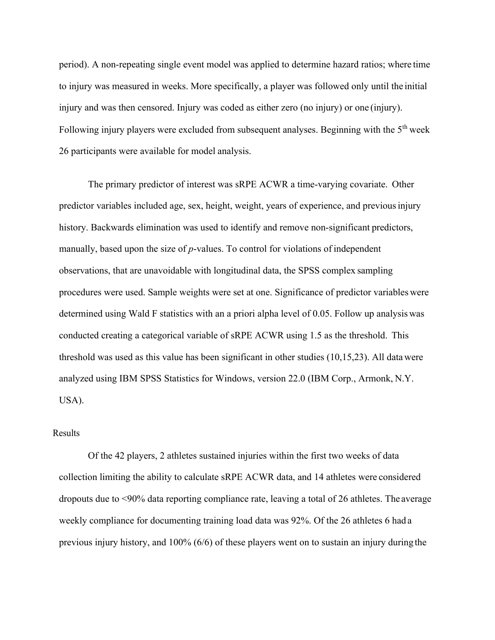period). A non-repeating single event model was applied to determine hazard ratios; where time to injury was measured in weeks. More specifically, a player was followed only until the initial injury and was then censored. Injury was coded as either zero (no injury) or one (injury). Following injury players were excluded from subsequent analyses. Beginning with the 5<sup>th</sup> week 26 participants were available for model analysis.

The primary predictor of interest was sRPE ACWR a time-varying covariate. Other predictor variables included age, sex, height, weight, years of experience, and previousinjury history. Backwards elimination was used to identify and remove non-significant predictors, manually, based upon the size of *p*-values. To control for violations of independent observations, that are unavoidable with longitudinal data, the SPSS complex sampling procedures were used. Sample weights were set at one. Significance of predictor variables were determined using Wald F statistics with an a priori alpha level of 0.05. Follow up analysis was conducted creating a categorical variable of sRPE ACWR using 1.5 as the threshold. This threshold was used as this value has been significant in other studies (10,15,23). All data were analyzed using IBM SPSS Statistics for Windows, version 22.0 (IBM Corp., Armonk, N.Y. USA).

### Results

Of the 42 players, 2 athletes sustained injuries within the first two weeks of data collection limiting the ability to calculate sRPE ACWR data, and 14 athletes were considered dropouts due to <90% data reporting compliance rate, leaving a total of 26 athletes. The average weekly compliance for documenting training load data was 92%. Of the 26 athletes 6 had a previous injury history, and 100% (6/6) of these players went on to sustain an injury during the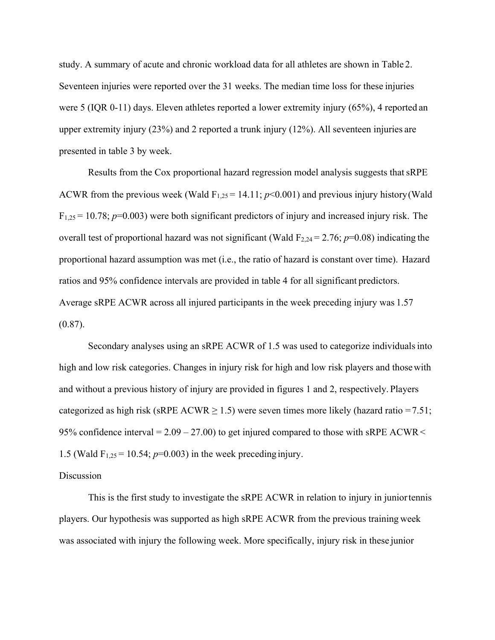study. A summary of acute and chronic workload data for all athletes are shown in Table 2. Seventeen injuries were reported over the 31 weeks. The median time loss for these injuries were 5 (IQR 0-11) days. Eleven athletes reported a lower extremity injury (65%), 4 reported an upper extremity injury (23%) and 2 reported a trunk injury (12%). All seventeen injuries are presented in table 3 by week.

Results from the Cox proportional hazard regression model analysis suggests that sRPE ACWR from the previous week (Wald  $F_{1,25} = 14.11$ ;  $p<0.001$ ) and previous injury history (Wald  $F_{1,25} = 10.78$ ;  $p=0.003$ ) were both significant predictors of injury and increased injury risk. The overall test of proportional hazard was not significant (Wald  $F_{2,24} = 2.76$ ;  $p=0.08$ ) indicating the proportional hazard assumption was met (i.e., the ratio of hazard is constant over time). Hazard ratios and 95% confidence intervals are provided in table 4 for all significant predictors. Average sRPE ACWR across all injured participants in the week preceding injury was 1.57 (0.87).

Secondary analyses using an sRPE ACWR of 1.5 was used to categorize individualsinto high and low risk categories. Changes in injury risk for high and low risk players and thosewith and without a previous history of injury are provided in figures 1 and 2, respectively. Players categorized as high risk (sRPE ACWR  $\geq$  1.5) were seven times more likely (hazard ratio = 7.51; 95% confidence interval =  $2.09 - 27.00$ ) to get injured compared to those with sRPE ACWR < 1.5 (Wald  $F_{1,25} = 10.54$ ;  $p=0.003$ ) in the week preceding injury.

#### **Discussion**

This is the first study to investigate the sRPE ACWR in relation to injury in juniortennis players. Our hypothesis was supported as high sRPE ACWR from the previous training week was associated with injury the following week. More specifically, injury risk in these junior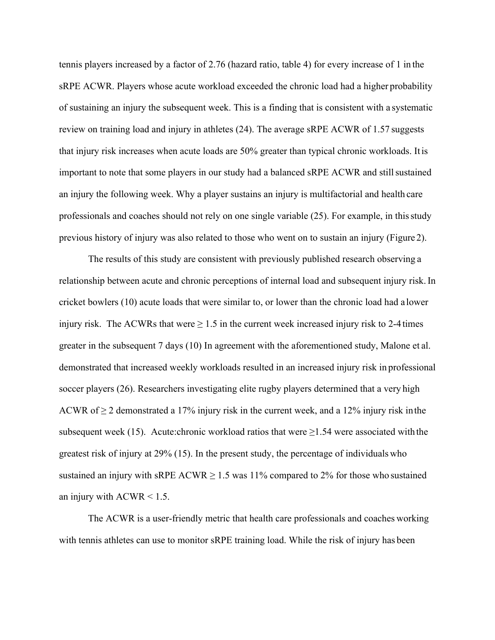tennis players increased by a factor of 2.76 (hazard ratio, table 4) for every increase of 1 in the sRPE ACWR. Players whose acute workload exceeded the chronic load had a higher probability of sustaining an injury the subsequent week. This is a finding that is consistent with a systematic review on training load and injury in athletes (24). The average sRPE ACWR of 1.57 suggests that injury risk increases when acute loads are 50% greater than typical chronic workloads. Itis important to note that some players in our study had a balanced sRPE ACWR and still sustained an injury the following week. Why a player sustains an injury is multifactorial and health care professionals and coaches should not rely on one single variable (25). For example, in thisstudy previous history of injury was also related to those who went on to sustain an injury (Figure 2).

The results of this study are consistent with previously published research observing a relationship between acute and chronic perceptions of internal load and subsequent injury risk.In cricket bowlers (10) acute loads that were similar to, or lower than the chronic load had a lower injury risk. The ACWRs that were  $\geq 1.5$  in the current week increased injury risk to 2-4 times greater in the subsequent 7 days (10) In agreement with the aforementioned study, Malone et al. demonstrated that increased weekly workloads resulted in an increased injury risk in professional soccer players (26). Researchers investigating elite rugby players determined that a very high ACWR of  $\geq$  2 demonstrated a 17% injury risk in the current week, and a 12% injury risk in the subsequent week (15). Acute:chronic workload ratios that were  $\geq$ 1.54 were associated with the greatest risk of injury at 29% (15). In the present study, the percentage of individuals who sustained an injury with sRPE ACWR  $\geq$  1.5 was 11% compared to 2% for those who sustained an injury with  $ACWR < 1.5$ .

The ACWR is a user-friendly metric that health care professionals and coaches working with tennis athletes can use to monitor sRPE training load. While the risk of injury has been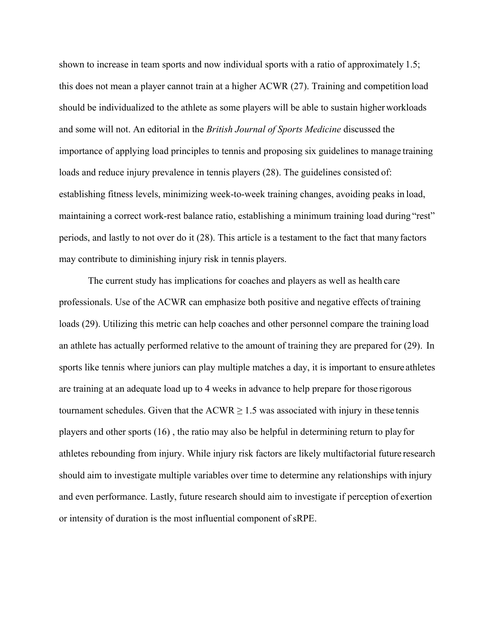shown to increase in team sports and now individual sports with a ratio of approximately 1.5; this does not mean a player cannot train at a higher ACWR (27). Training and competition load should be individualized to the athlete as some players will be able to sustain higherworkloads and some will not. An editorial in the *British Journal of Sports Medicine* discussed the importance of applying load principles to tennis and proposing six guidelines to manage training loads and reduce injury prevalence in tennis players (28). The guidelines consisted of: establishing fitness levels, minimizing week-to-week training changes, avoiding peaks in load, maintaining a correct work-rest balance ratio, establishing a minimum training load during "rest" periods, and lastly to not over do it (28). This article is a testament to the fact that manyfactors may contribute to diminishing injury risk in tennis players.

The current study has implications for coaches and players as well as health care professionals. Use of the ACWR can emphasize both positive and negative effects oftraining loads (29). Utilizing this metric can help coaches and other personnel compare the training load an athlete has actually performed relative to the amount of training they are prepared for (29). In sports like tennis where juniors can play multiple matches a day, it is important to ensure athletes are training at an adequate load up to 4 weeks in advance to help prepare for those rigorous tournament schedules. Given that the  $ACWR \ge 1.5$  was associated with injury in these tennis players and other sports (16) , the ratio may also be helpful in determining return to play for athletes rebounding from injury. While injury risk factors are likely multifactorial future research should aim to investigate multiple variables over time to determine any relationships with injury and even performance. Lastly, future research should aim to investigate if perception of exertion or intensity of duration is the most influential component of sRPE.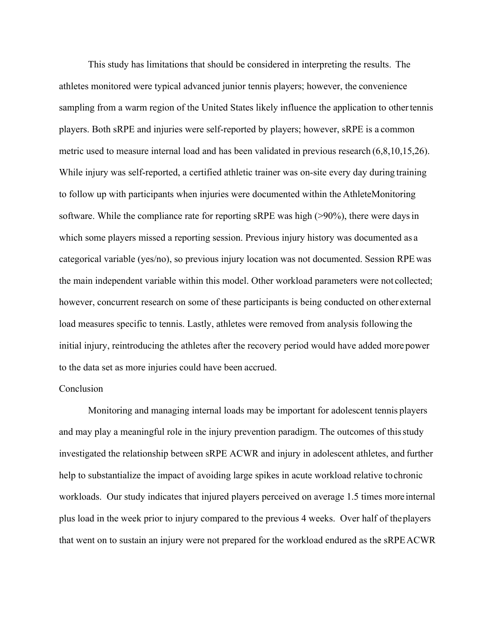This study has limitations that should be considered in interpreting the results. The athletes monitored were typical advanced junior tennis players; however, the convenience sampling from a warm region of the United States likely influence the application to other tennis players. Both sRPE and injuries were self-reported by players; however, sRPE is a common metric used to measure internal load and has been validated in previous research (6,8,10,15,26). While injury was self-reported, a certified athletic trainer was on-site every day during training to follow up with participants when injuries were documented within the AthleteMonitoring software. While the compliance rate for reporting sRPE was high (>90%), there were days in which some players missed a reporting session. Previous injury history was documented as a categorical variable (yes/no), so previous injury location was not documented. Session RPE was the main independent variable within this model. Other workload parameters were not collected; however, concurrent research on some of these participants is being conducted on other external load measures specific to tennis. Lastly, athletes were removed from analysis following the initial injury, reintroducing the athletes after the recovery period would have added more power to the data set as more injuries could have been accrued.

#### Conclusion

Monitoring and managing internal loads may be important for adolescent tennis players and may play a meaningful role in the injury prevention paradigm. The outcomes of thisstudy investigated the relationship between sRPE ACWR and injury in adolescent athletes, and further help to substantialize the impact of avoiding large spikes in acute workload relative tochronic workloads. Our study indicates that injured players perceived on average 1.5 times moreinternal plus load in the week prior to injury compared to the previous 4 weeks. Over half of theplayers that went on to sustain an injury were not prepared for the workload endured as the sRPEACWR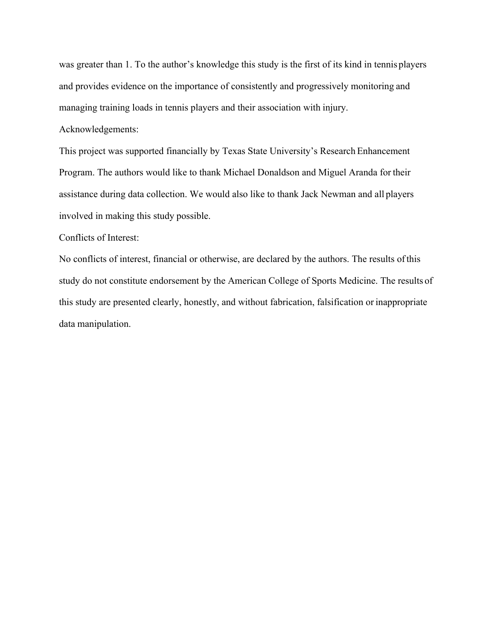was greater than 1. To the author's knowledge this study is the first of its kind in tennis players and provides evidence on the importance of consistently and progressively monitoring and managing training loads in tennis players and their association with injury.

# Acknowledgements:

This project was supported financially by Texas State University's Research Enhancement Program. The authors would like to thank Michael Donaldson and Miguel Aranda for their assistance during data collection. We would also like to thank Jack Newman and all players involved in making this study possible.

# Conflicts of Interest:

No conflicts of interest, financial or otherwise, are declared by the authors. The results ofthis study do not constitute endorsement by the American College of Sports Medicine. The results of this study are presented clearly, honestly, and without fabrication, falsification or inappropriate data manipulation.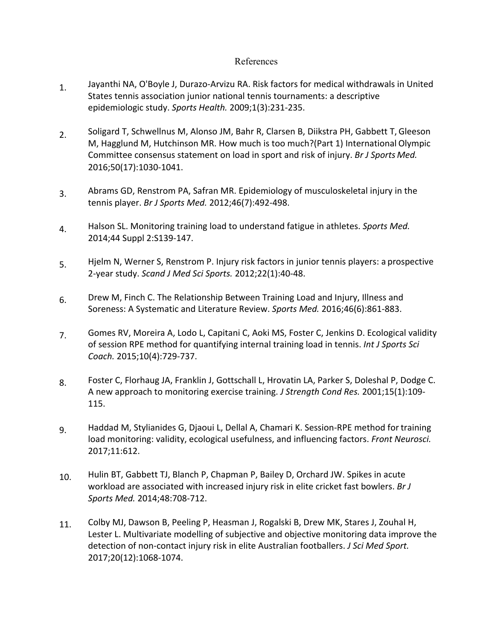# References

- Jayanthi NA, O'Boyle J, Durazo-Arvizu RA. Risk factors for medical withdrawals in United States tennis association junior national tennis tournaments: a descriptive epidemiologic study. *Sports Health.* 2009;1(3):231-235. 1.
- Soligard T, Schwellnus M, Alonso JM, Bahr R, Clarsen B, Diikstra PH, Gabbett T, Gleeson M, Hagglund M, Hutchinson MR. How much is too much?(Part 1) International Olympic Committee consensus statement on load in sport and risk of injury. *Br J Sports Med.* 2016;50(17):1030-1041. 2.
- Abrams GD, Renstrom PA, Safran MR. Epidemiology of musculoskeletal injury in the tennis player. *Br J Sports Med.* 2012;46(7):492-498. 3.
- Halson SL. Monitoring training load to understand fatigue in athletes. *Sports Med.* 2014;44 Suppl 2:S139-147. 4.
- Hjelm N, Werner S, Renstrom P. Injury risk factors in junior tennis players: a prospective 2-year study. *Scand J Med Sci Sports.* 2012;22(1):40-48. 5.
- Drew M, Finch C. The Relationship Between Training Load and Injury, Illness and Soreness: A Systematic and Literature Review. *Sports Med.* 2016;46(6):861-883. 6.
- Gomes RV, Moreira A, Lodo L, Capitani C, Aoki MS, Foster C, Jenkins D. Ecological validity of session RPE method for quantifying internal training load in tennis. *Int J Sports Sci Coach.* 2015;10(4):729-737. 7.
- Foster C, Florhaug JA, Franklin J, Gottschall L, Hrovatin LA, Parker S, Doleshal P, Dodge C. A new approach to monitoring exercise training. *J Strength Cond Res.* 2001;15(1):109- 115. 8.
- Haddad M, Stylianides G, Djaoui L, Dellal A, Chamari K. Session-RPE method for training load monitoring: validity, ecological usefulness, and influencing factors. *Front Neurosci.*  2017;11:612. 9.
- Hulin BT, Gabbett TJ, Blanch P, Chapman P, Bailey D, Orchard JW. Spikes in acute workload are associated with increased injury risk in elite cricket fast bowlers. *Br J Sports Med.* 2014;48:708-712. 10.
- Colby MJ, Dawson B, Peeling P, Heasman J, Rogalski B, Drew MK, Stares J, Zouhal H, Lester L. Multivariate modelling of subjective and objective monitoring data improve the detection of non-contact injury risk in elite Australian footballers. *J Sci Med Sport.* 2017;20(12):1068-1074. 11.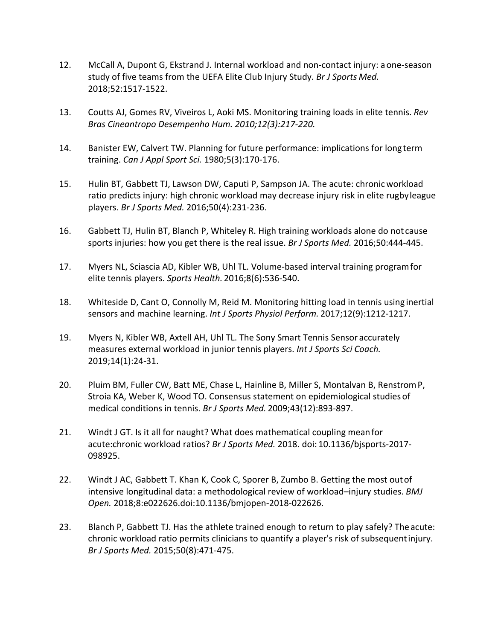- 12. McCall A, Dupont G, Ekstrand J. Internal workload and non-contact injury: aone-season study of five teams from the UEFA Elite Club Injury Study. *Br J Sports Med.* 2018;52:1517-1522.
- 13. Coutts AJ, Gomes RV, Viveiros L, Aoki MS. Monitoring training loads in elite tennis. *Rev Bras Cineantropo Desempenho Hum. 2010;12(3):217-220.*
- 14. Banister EW, Calvert TW. Planning for future performance: implications for long term training. *Can J Appl Sport Sci.* 1980;5(3):170-176.
- 15. Hulin BT, Gabbett TJ, Lawson DW, Caputi P, Sampson JA. The acute: chronicworkload ratio predicts injury: high chronic workload may decrease injury risk in elite rugbyleague players. *Br J Sports Med.* 2016;50(4):231-236.
- 16. Gabbett TJ, Hulin BT, Blanch P, Whiteley R. High training workloads alone do not cause sports injuries: how you get there is the real issue. *Br J Sports Med.* 2016;50:444-445.
- 17. Myers NL, Sciascia AD, Kibler WB, Uhl TL. Volume-based interval training programfor elite tennis players. *Sports Health.* 2016;8(6):536-540.
- 18. Whiteside D, Cant O, Connolly M, Reid M. Monitoring hitting load in tennis using inertial sensors and machine learning. *Int J Sports Physiol Perform.* 2017;12(9):1212-1217.
- 19. Myers N, Kibler WB, Axtell AH, Uhl TL. The Sony Smart Tennis Sensor accurately measures external workload in junior tennis players. *Int J Sports Sci Coach.* 2019;14(1):24-31.
- 20. Pluim BM, Fuller CW, Batt ME, Chase L, Hainline B, Miller S, Montalvan B, RenstromP, Stroia KA, Weber K, Wood TO. Consensus statement on epidemiological studies of medical conditions in tennis. *Br J Sports Med.* 2009;43(12):893-897.
- 21. Windt J GT. Is it all for naught? What does mathematical coupling meanfor acute:chronic workload ratios? *Br J Sports Med.* 2018. doi: 10.1136/bjsports-2017- 098925.
- 22. Windt J AC, Gabbett T. Khan K, Cook C, Sporer B, Zumbo B. Getting the most outof intensive longitudinal data: a methodological review of workload–injury studies. *BMJ Open.* 2018;8:e022626.doi:10.1136/bmjopen-2018-022626.
- 23. Blanch P, Gabbett TJ. Has the athlete trained enough to return to play safely? Theacute: chronic workload ratio permits clinicians to quantify a player's risk of subsequentinjury. *Br J Sports Med.* 2015;50(8):471-475.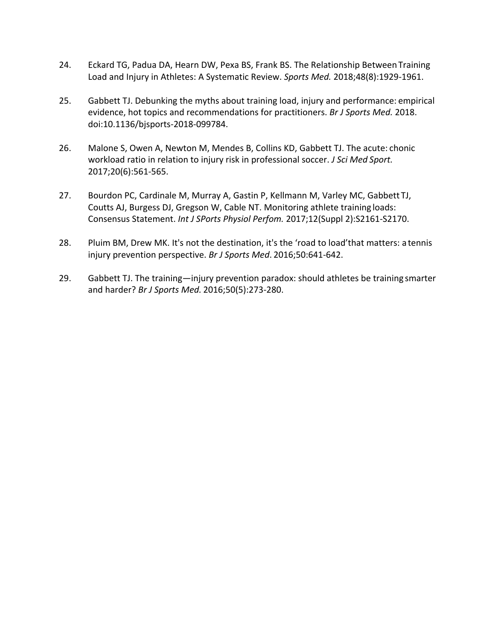- 24. Eckard TG, Padua DA, Hearn DW, Pexa BS, Frank BS. The Relationship BetweenTraining Load and Injury in Athletes: A Systematic Review. *Sports Med.* 2018;48(8):1929-1961.
- 25. Gabbett TJ. Debunking the myths about training load, injury and performance: empirical evidence, hot topics and recommendations for practitioners. *Br J Sports Med.* 2018. doi:10.1136/bjsports-2018-099784.
- 26. Malone S, Owen A, Newton M, Mendes B, Collins KD, Gabbett TJ. The acute: chonic workload ratio in relation to injury risk in professional soccer. *J Sci Med Sport.* 2017;20(6):561-565.
- 27. Bourdon PC, Cardinale M, Murray A, Gastin P, Kellmann M, Varley MC, Gabbett TJ, Coutts AJ, Burgess DJ, Gregson W, Cable NT. Monitoring athlete training loads: Consensus Statement. *Int J SPorts Physiol Perfom.* 2017;12(Suppl 2):S2161-S2170.
- 28. Pluim BM, Drew MK. It's not the destination, it's the 'road to load'that matters: a tennis injury prevention perspective. *Br J Sports Med*. 2016;50:641-642.
- 29. Gabbett TJ. The training—injury prevention paradox: should athletes be training smarter and harder? *Br J Sports Med.* 2016;50(5):273-280.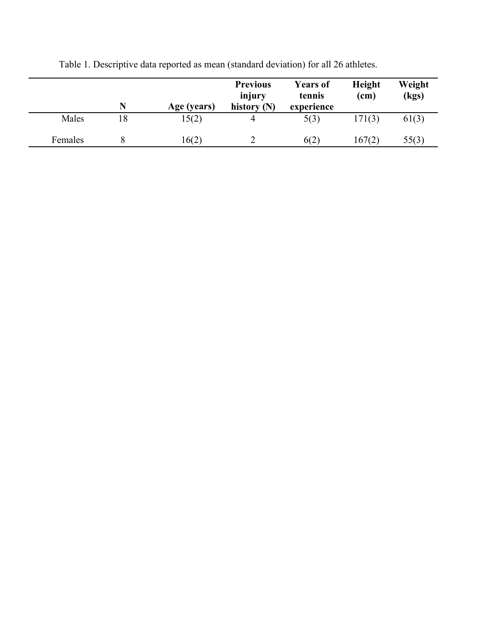|         |    | Age (years) | <b>Previous</b><br>injury<br>history $(N)$ | <b>Years of</b><br>tennis<br>experience | Height<br>(cm) | Weight<br>(kgs) |
|---------|----|-------------|--------------------------------------------|-----------------------------------------|----------------|-----------------|
| Males   | 18 | 15(2)       | 4                                          | 5(3)                                    | 171(3)         | 61(3)           |
| Females |    | 16(2)       |                                            | 6(2)                                    | 167(2)         | 55(3)           |

Table 1. Descriptive data reported as mean (standard deviation) for all 26 athletes.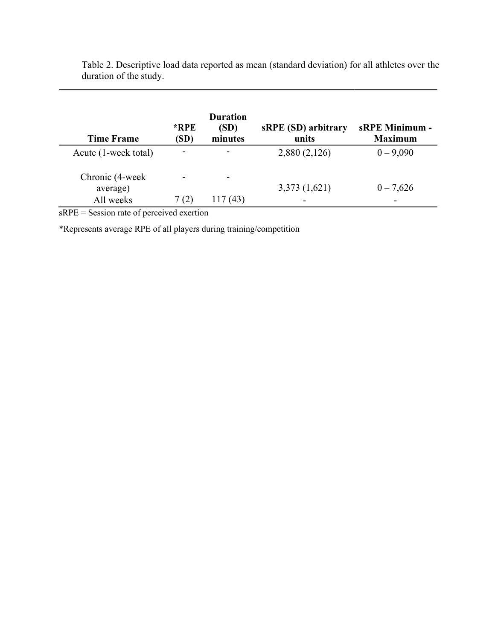| <b>Time Frame</b>                        | $*RPE$<br>(SD)                   | <b>Duration</b><br>(SD)<br>minutes | sRPE (SD) arbitrary<br>units | <b>sRPE Minimum -</b><br><b>Maximum</b> |
|------------------------------------------|----------------------------------|------------------------------------|------------------------------|-----------------------------------------|
| Acute (1-week total)                     | -                                | -                                  | 2,880 (2,126)                | $0 - 9,090$                             |
| Chronic (4-week<br>average)<br>All weeks | $\overline{\phantom{a}}$<br>7(2) | ۰<br>117 (43)                      | 3,373(1,621)<br>-            | $0 - 7,626$                             |

Table 2. Descriptive load data reported as mean (standard deviation) for all athletes over the duration of the study.

sRPE = Session rate of perceived exertion

\*Represents average RPE of all players during training/competition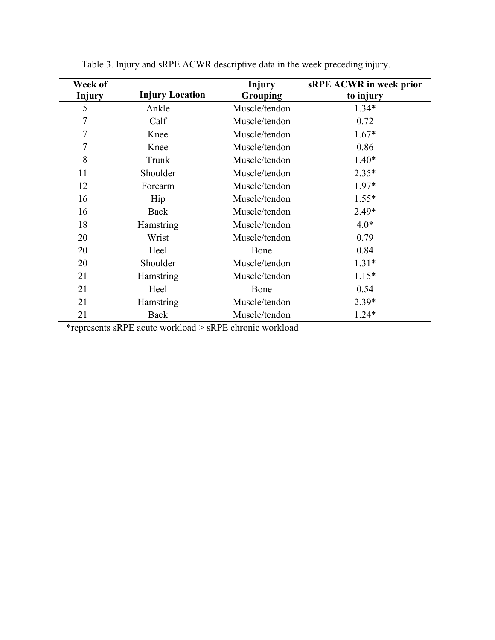| Week of       |                        | <b>Injury</b> | <b>sRPE ACWR</b> in week prior |
|---------------|------------------------|---------------|--------------------------------|
| <b>Injury</b> | <b>Injury Location</b> | Grouping      | to injury                      |
| 5             | Ankle                  | Muscle/tendon | $1.34*$                        |
| 7             | Calf                   | Muscle/tendon | 0.72                           |
| 7             | Knee                   | Muscle/tendon | $1.67*$                        |
| 7             | Knee                   | Muscle/tendon | 0.86                           |
| 8             | Trunk                  | Muscle/tendon | $1.40*$                        |
| 11            | Shoulder               | Muscle/tendon | $2.35*$                        |
| 12            | Forearm                | Muscle/tendon | 1.97*                          |
| 16            | Hip                    | Muscle/tendon | $1.55*$                        |
| 16            | Back                   | Muscle/tendon | $2.49*$                        |
| 18            | Hamstring              | Muscle/tendon | $4.0*$                         |
| 20            | Wrist                  | Muscle/tendon | 0.79                           |
| 20            | Heel                   | Bone          | 0.84                           |
| 20            | Shoulder               | Muscle/tendon | $1.31*$                        |
| 21            | Hamstring              | Muscle/tendon | $1.15*$                        |
| 21            | Heel                   | Bone          | 0.54                           |
| 21            | Hamstring              | Muscle/tendon | $2.39*$                        |
| 21            | Back                   | Muscle/tendon | $1.24*$                        |

Table 3. Injury and sRPE ACWR descriptive data in the week preceding injury.

\*represents sRPE acute workload > sRPE chronic workload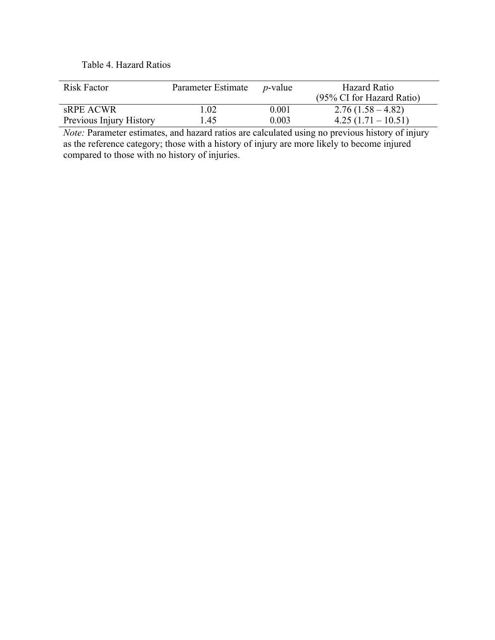# Table 4. Hazard Ratios

| <b>Risk Factor</b>      | Parameter Estimate | <i>n</i> -value | Hazard Ratio<br>(95% CI for Hazard Ratio) |
|-------------------------|--------------------|-----------------|-------------------------------------------|
| sRPE ACWR               | 1.02               | 0.001           | $2.76(1.58-4.82)$                         |
| Previous Injury History | 1.45               | 0.003           | $4.25(1.71-10.51)$                        |

*Note: Parameter estimates, and hazard ratios are calculated using no previous history of injury* as the reference category; those with a history of injury are more likely to become injured compared to those with no history of injuries.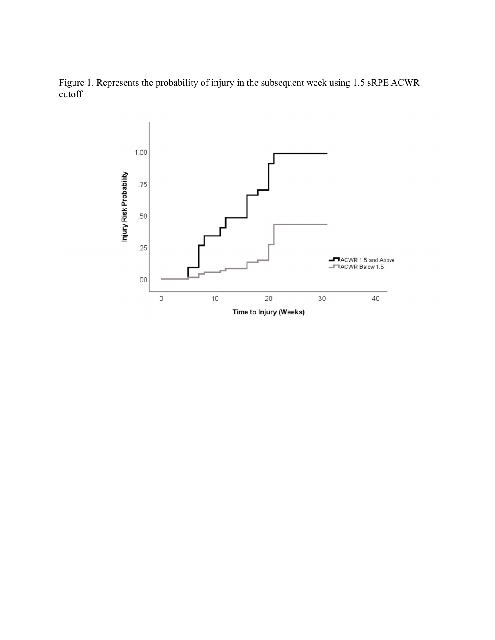Figure 1. Represents the probability of injury in the subsequent week using 1.5 sRPE ACWR cutoff